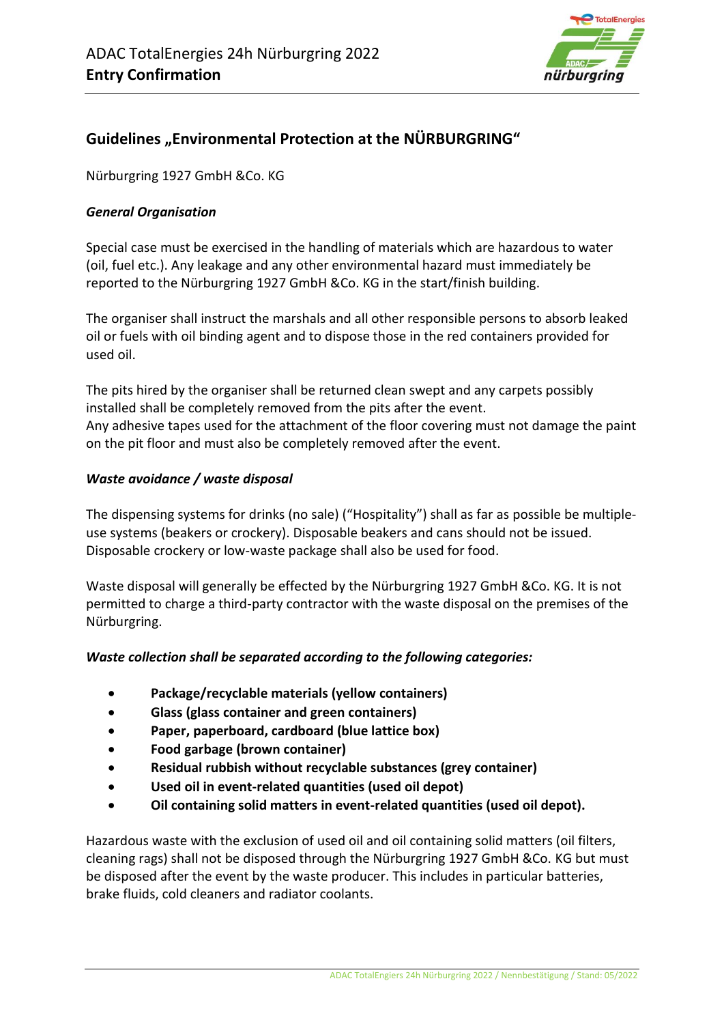

# **Guidelines "Environmental Protection at the NÜRBURGRING"**

Nürburgring 1927 GmbH &Co. KG

## *General Organisation*

Special case must be exercised in the handling of materials which are hazardous to water (oil, fuel etc.). Any leakage and any other environmental hazard must immediately be reported to the Nürburgring 1927 GmbH &Co. KG in the start/finish building.

The organiser shall instruct the marshals and all other responsible persons to absorb leaked oil or fuels with oil binding agent and to dispose those in the red containers provided for used oil.

The pits hired by the organiser shall be returned clean swept and any carpets possibly installed shall be completely removed from the pits after the event. Any adhesive tapes used for the attachment of the floor covering must not damage the paint on the pit floor and must also be completely removed after the event.

### *Waste avoidance / waste disposal*

The dispensing systems for drinks (no sale) ("Hospitality") shall as far as possible be multipleuse systems (beakers or crockery). Disposable beakers and cans should not be issued. Disposable crockery or low-waste package shall also be used for food.

Waste disposal will generally be effected by the Nürburgring 1927 GmbH &Co. KG. It is not permitted to charge a third-party contractor with the waste disposal on the premises of the Nürburgring.

### *Waste collection shall be separated according to the following categories:*

- **Package/recyclable materials (yellow containers)**
- **Glass (glass container and green containers)**
- **Paper, paperboard, cardboard (blue lattice box)**
- **Food garbage (brown container)**
- **Residual rubbish without recyclable substances (grey container)**
- **Used oil in event-related quantities (used oil depot)**
- **Oil containing solid matters in event-related quantities (used oil depot).**

Hazardous waste with the exclusion of used oil and oil containing solid matters (oil filters, cleaning rags) shall not be disposed through the Nürburgring 1927 GmbH &Co. KG but must be disposed after the event by the waste producer. This includes in particular batteries, brake fluids, cold cleaners and radiator coolants.